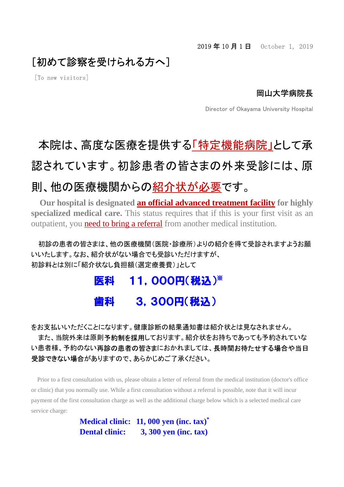### [初めて診察を受けられる方へ]

[To new visitors]

### 岡山大学病院長

Director of Okayama University Hospital

# 本院は、高度な医療を提供する「特定機能病院」として承 認されています。初診患者の皆さまの外来受診には、原 則、他の医療機関からの紹介状が必要です。

**Our hospital is designated an official advanced treatment facility for highly specialized medical care.** This status requires that if this is your first visit as an outpatient, you need to bring a referral from another medical institution.

 初診の患者の皆さまは、他の医療機関(医院・診療所)よりの紹介を得て受診されますようお願 いいたします。なお、紹介状がない場合でも受診いただけますが、 初診料とは別に「紹介状なし負担額(選定療養費)」として

## 医科 11,000円(税込) ※ 3.300円(税込)

をお支払いいただくことになります。健康診断の結果通知書は紹介状とは見なされません。

また、当院外来は原則予約制を採用しております。紹介状をお持ちであっても予約されていな い患者様、予約のない再診の患者の皆さまにおかれましては、長時間お待たせする場合や当日 受診できない場合がありますので、あらかじめご了承ください。

 Prior to a first consultation with us, please obtain a letter of referral from the medical institution (doctor's office or clinic) that you normally use. While a first consultation without a referral is possible, note that it will incur payment of the first consultation charge as well as the additional charge below which is a selected medical care service charge:

> **Medical clinic: 11, 000 yen (inc. tax)\* Dental clinic: 3, 300 yen (inc. tax)**